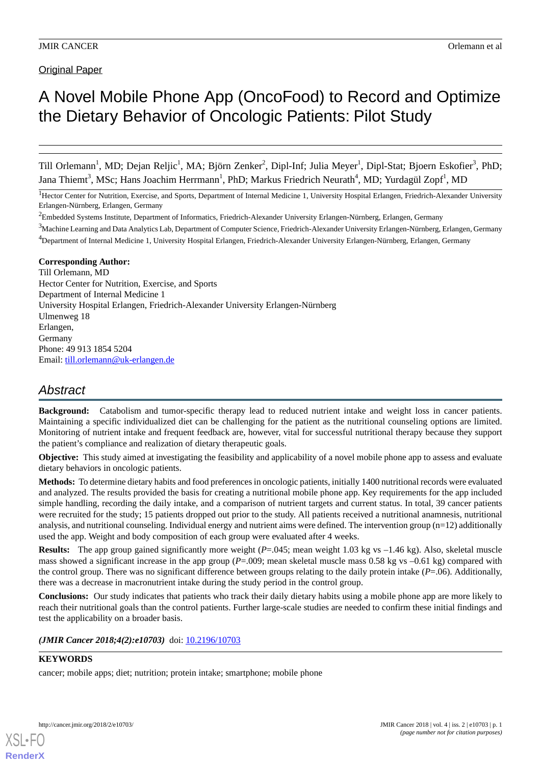# Original Paper

# A Novel Mobile Phone App (OncoFood) to Record and Optimize the Dietary Behavior of Oncologic Patients: Pilot Study

Till Orlemann<sup>1</sup>, MD; Dejan Reljic<sup>1</sup>, MA; Björn Zenker<sup>2</sup>, Dipl-Inf; Julia Meyer<sup>1</sup>, Dipl-Stat; Bjoern Eskofier<sup>3</sup>, PhD; Jana Thiemt<sup>3</sup>, MSc; Hans Joachim Herrmann<sup>1</sup>, PhD; Markus Friedrich Neurath<sup>4</sup>, MD; Yurdagül Zopf<sup>1</sup>, MD

<sup>1</sup>Hector Center for Nutrition, Exercise, and Sports, Department of Internal Medicine 1, University Hospital Erlangen, Friedrich-Alexander University Erlangen-Nürnberg, Erlangen, Germany

<sup>2</sup>Embedded Systems Institute, Department of Informatics, Friedrich-Alexander University Erlangen-Nürnberg, Erlangen, Germany

<sup>3</sup>Machine Learning and Data Analytics Lab, Department of Computer Science, Friedrich-Alexander University Erlangen-Nürnberg, Erlangen, Germany <sup>4</sup>Department of Internal Medicine 1, University Hospital Erlangen, Friedrich-Alexander University Erlangen-Nürnberg, Erlangen, Germany

# **Corresponding Author:**

Till Orlemann, MD Hector Center for Nutrition, Exercise, and Sports Department of Internal Medicine 1 University Hospital Erlangen, Friedrich-Alexander University Erlangen-Nürnberg Ulmenweg 18 Erlangen, Germany Phone: 49 913 1854 5204 Email: [till.orlemann@uk-erlangen.de](mailto:till.orlemann@uk-erlangen.de)

# *Abstract*

**Background:** Catabolism and tumor-specific therapy lead to reduced nutrient intake and weight loss in cancer patients. Maintaining a specific individualized diet can be challenging for the patient as the nutritional counseling options are limited. Monitoring of nutrient intake and frequent feedback are, however, vital for successful nutritional therapy because they support the patient's compliance and realization of dietary therapeutic goals.

**Objective:** This study aimed at investigating the feasibility and applicability of a novel mobile phone app to assess and evaluate dietary behaviors in oncologic patients.

**Methods:** To determine dietary habits and food preferences in oncologic patients, initially 1400 nutritional records were evaluated and analyzed. The results provided the basis for creating a nutritional mobile phone app. Key requirements for the app included simple handling, recording the daily intake, and a comparison of nutrient targets and current status. In total, 39 cancer patients were recruited for the study; 15 patients dropped out prior to the study. All patients received a nutritional anamnesis, nutritional analysis, and nutritional counseling. Individual energy and nutrient aims were defined. The intervention group (n=12) additionally used the app. Weight and body composition of each group were evaluated after 4 weeks.

**Results:** The app group gained significantly more weight (*P*=.045; mean weight 1.03 kg vs –1.46 kg). Also, skeletal muscle mass showed a significant increase in the app group (*P*=.009; mean skeletal muscle mass 0.58 kg vs –0.61 kg) compared with the control group. There was no significant difference between groups relating to the daily protein intake (*P*=.06). Additionally, there was a decrease in macronutrient intake during the study period in the control group.

**Conclusions:** Our study indicates that patients who track their daily dietary habits using a mobile phone app are more likely to reach their nutritional goals than the control patients. Further large-scale studies are needed to confirm these initial findings and test the applicability on a broader basis.

(JMIR Cancer 2018;4(2):e10703) doi: [10.2196/10703](http://dx.doi.org/10.2196/10703)

# **KEYWORDS**

cancer; mobile apps; diet; nutrition; protein intake; smartphone; mobile phone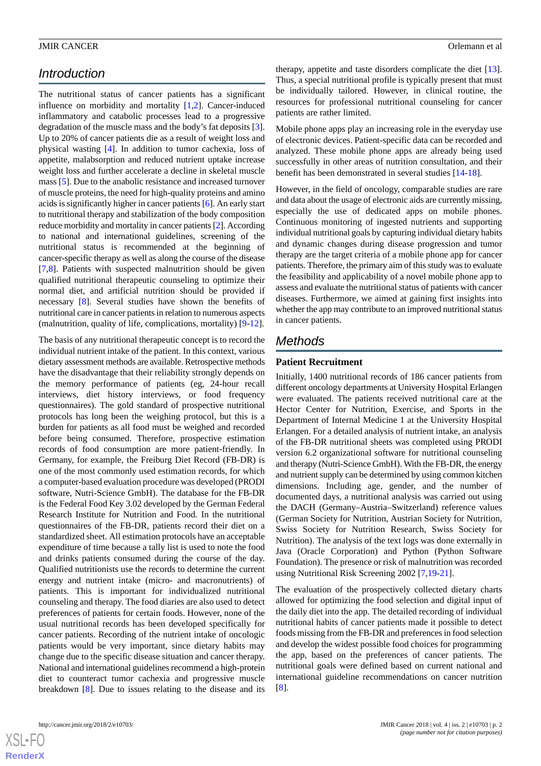# *Introduction*

The nutritional status of cancer patients has a significant influence on morbidity and mortality [[1](#page-12-0)[,2](#page-12-1)]. Cancer-induced inflammatory and catabolic processes lead to a progressive degradation of the muscle mass and the body's fat deposits [[3\]](#page-12-2). Up to 20% of cancer patients die as a result of weight loss and physical wasting [\[4](#page-12-3)]. In addition to tumor cachexia, loss of appetite, malabsorption and reduced nutrient uptake increase weight loss and further accelerate a decline in skeletal muscle mass [[5\]](#page-12-4). Due to the anabolic resistance and increased turnover of muscle proteins, the need for high-quality proteins and amino acids is significantly higher in cancer patients [[6\]](#page-12-5). An early start to nutritional therapy and stabilization of the body composition reduce morbidity and mortality in cancer patients [[2\]](#page-12-1). According to national and international guidelines, screening of the nutritional status is recommended at the beginning of cancer-specific therapy as well as along the course of the disease [[7](#page-12-6)[,8](#page-12-7)]. Patients with suspected malnutrition should be given qualified nutritional therapeutic counseling to optimize their normal diet, and artificial nutrition should be provided if necessary [\[8](#page-12-7)]. Several studies have shown the benefits of nutritional care in cancer patients in relation to numerous aspects (malnutrition, quality of life, complications, mortality) [[9-](#page-13-0)[12](#page-13-1)].

The basis of any nutritional therapeutic concept is to record the individual nutrient intake of the patient. In this context, various dietary assessment methods are available. Retrospective methods have the disadvantage that their reliability strongly depends on the memory performance of patients (eg, 24-hour recall interviews, diet history interviews, or food frequency questionnaires). The gold standard of prospective nutritional protocols has long been the weighing protocol, but this is a burden for patients as all food must be weighed and recorded before being consumed. Therefore, prospective estimation records of food consumption are more patient-friendly. In Germany, for example, the Freiburg Diet Record (FB-DR) is one of the most commonly used estimation records, for which a computer-based evaluation procedure was developed (PRODI software, Nutri-Science GmbH). The database for the FB-DR is the Federal Food Key 3.02 developed by the German Federal Research Institute for Nutrition and Food. In the nutritional questionnaires of the FB-DR, patients record their diet on a standardized sheet. All estimation protocols have an acceptable expenditure of time because a tally list is used to note the food and drinks patients consumed during the course of the day. Qualified nutritionists use the records to determine the current energy and nutrient intake (micro- and macronutrients) of patients. This is important for individualized nutritional counseling and therapy. The food diaries are also used to detect preferences of patients for certain foods. However, none of the usual nutritional records has been developed specifically for cancer patients. Recording of the nutrient intake of oncologic patients would be very important, since dietary habits may change due to the specific disease situation and cancer therapy. National and international guidelines recommend a high-protein diet to counteract tumor cachexia and progressive muscle breakdown [[8\]](#page-12-7). Due to issues relating to the disease and its

therapy, appetite and taste disorders complicate the diet [[13\]](#page-13-2). Thus, a special nutritional profile is typically present that must be individually tailored. However, in clinical routine, the resources for professional nutritional counseling for cancer patients are rather limited.

Mobile phone apps play an increasing role in the everyday use of electronic devices. Patient-specific data can be recorded and analyzed. These mobile phone apps are already being used successfully in other areas of nutrition consultation, and their benefit has been demonstrated in several studies [[14-](#page-13-3)[18\]](#page-13-4).

However, in the field of oncology, comparable studies are rare and data about the usage of electronic aids are currently missing, especially the use of dedicated apps on mobile phones. Continuous monitoring of ingested nutrients and supporting individual nutritional goals by capturing individual dietary habits and dynamic changes during disease progression and tumor therapy are the target criteria of a mobile phone app for cancer patients. Therefore, the primary aim of this study was to evaluate the feasibility and applicability of a novel mobile phone app to assess and evaluate the nutritional status of patients with cancer diseases. Furthermore, we aimed at gaining first insights into whether the app may contribute to an improved nutritional status in cancer patients.

# *Methods*

# **Patient Recruitment**

Initially, 1400 nutritional records of 186 cancer patients from different oncology departments at University Hospital Erlangen were evaluated. The patients received nutritional care at the Hector Center for Nutrition, Exercise, and Sports in the Department of Internal Medicine 1 at the University Hospital Erlangen. For a detailed analysis of nutrient intake, an analysis of the FB-DR nutritional sheets was completed using PRODI version 6.2 organizational software for nutritional counseling and therapy (Nutri-Science GmbH). With the FB-DR, the energy and nutrient supply can be determined by using common kitchen dimensions. Including age, gender, and the number of documented days, a nutritional analysis was carried out using the DACH (Germany–Austria–Switzerland) reference values (German Society for Nutrition, Austrian Society for Nutrition, Swiss Society for Nutrition Research, Swiss Society for Nutrition). The analysis of the text logs was done externally in Java (Oracle Corporation) and Python (Python Software Foundation). The presence or risk of malnutrition was recorded using Nutritional Risk Screening 2002 [\[7](#page-12-6),[19](#page-13-5)[-21](#page-13-6)].

The evaluation of the prospectively collected dietary charts allowed for optimizing the food selection and digital input of the daily diet into the app. The detailed recording of individual nutritional habits of cancer patients made it possible to detect foods missing from the FB-DR and preferences in food selection and develop the widest possible food choices for programming the app, based on the preferences of cancer patients. The nutritional goals were defined based on current national and international guideline recommendations on cancer nutrition [[8\]](#page-12-7).

 $XS$  • FO **[RenderX](http://www.renderx.com/)**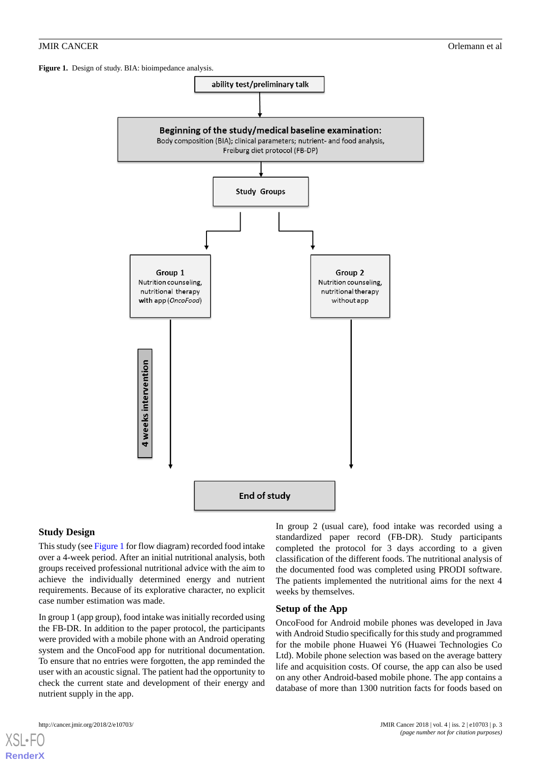<span id="page-2-0"></span>Figure 1. Design of study. BIA: bioimpedance analysis.



# **Study Design**

This study (see [Figure 1](#page-2-0) for flow diagram) recorded food intake over a 4-week period. After an initial nutritional analysis, both groups received professional nutritional advice with the aim to achieve the individually determined energy and nutrient requirements. Because of its explorative character, no explicit case number estimation was made.

In group 1 (app group), food intake was initially recorded using the FB-DR. In addition to the paper protocol, the participants were provided with a mobile phone with an Android operating system and the OncoFood app for nutritional documentation. To ensure that no entries were forgotten, the app reminded the user with an acoustic signal. The patient had the opportunity to check the current state and development of their energy and nutrient supply in the app.

[XSL](http://www.w3.org/Style/XSL)•FO **[RenderX](http://www.renderx.com/)**

In group 2 (usual care), food intake was recorded using a standardized paper record (FB-DR). Study participants completed the protocol for 3 days according to a given classification of the different foods. The nutritional analysis of the documented food was completed using PRODI software. The patients implemented the nutritional aims for the next 4 weeks by themselves.

#### **Setup of the App**

OncoFood for Android mobile phones was developed in Java with Android Studio specifically for this study and programmed for the mobile phone Huawei Y6 (Huawei Technologies Co Ltd). Mobile phone selection was based on the average battery life and acquisition costs. Of course, the app can also be used on any other Android-based mobile phone. The app contains a database of more than 1300 nutrition facts for foods based on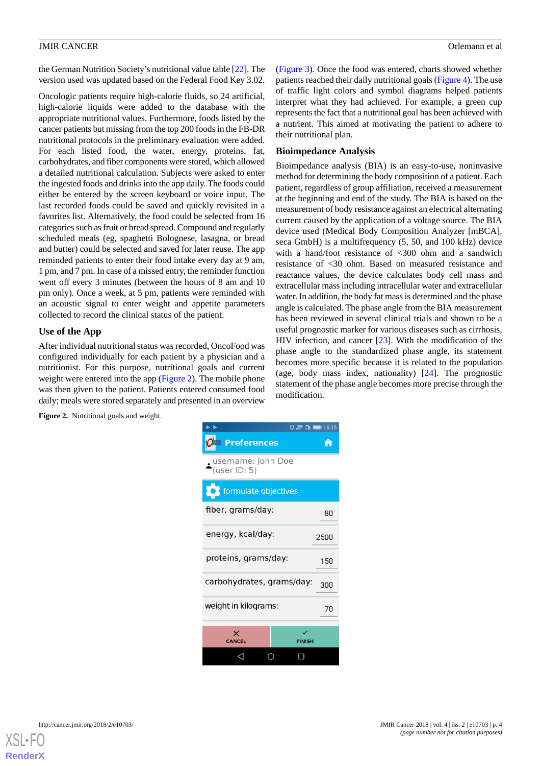the German Nutrition Society's nutritional value table [\[22](#page-13-7)]. The version used was updated based on the Federal Food Key 3.02.

Oncologic patients require high-calorie fluids, so 24 artificial, high-calorie liquids were added to the database with the appropriate nutritional values. Furthermore, foods listed by the cancer patients but missing from the top 200 foods in the FB-DR nutritional protocols in the preliminary evaluation were added. For each listed food, the water, energy, proteins, fat, carbohydrates, and fiber components were stored, which allowed a detailed nutritional calculation. Subjects were asked to enter the ingested foods and drinks into the app daily. The foods could either be entered by the screen keyboard or voice input. The last recorded foods could be saved and quickly revisited in a favorites list. Alternatively, the food could be selected from 16 categories such as fruit or bread spread. Compound and regularly scheduled meals (eg, spaghetti Bolognese, lasagna, or bread and butter) could be selected and saved for later reuse. The app reminded patients to enter their food intake every day at 9 am, 1 pm, and 7 pm. In case of a missed entry, the reminder function went off every 3 minutes (between the hours of 8 am and 10 pm only). Once a week, at 5 pm, patients were reminded with an acoustic signal to enter weight and appetite parameters collected to record the clinical status of the patient.

# **Use of the App**

<span id="page-3-0"></span>After individual nutritional status was recorded, OncoFood was configured individually for each patient by a physician and a nutritionist. For this purpose, nutritional goals and current weight were entered into the app ([Figure 2](#page-3-0)). The mobile phone was then given to the patient. Patients entered consumed food daily; meals were stored separately and presented in an overview

([Figure 3\)](#page-4-0). Once the food was entered, charts showed whether patients reached their daily nutritional goals [\(Figure 4](#page-4-1)). The use of traffic light colors and symbol diagrams helped patients interpret what they had achieved. For example, a green cup represents the fact that a nutritional goal has been achieved with a nutrient. This aimed at motivating the patient to adhere to their nutritional plan.

# **Bioimpedance Analysis**

Bioimpedance analysis (BIA) is an easy-to-use, noninvasive method for determining the body composition of a patient. Each patient, regardless of group affiliation, received a measurement at the beginning and end of the study. The BIA is based on the measurement of body resistance against an electrical alternating current caused by the application of a voltage source. The BIA device used (Medical Body Composition Analyzer [mBCA], seca GmbH) is a multifrequency (5, 50, and 100 kHz) device with a hand/foot resistance of <300 ohm and a sandwich resistance of <30 ohm. Based on measured resistance and reactance values, the device calculates body cell mass and extracellular mass including intracellular water and extracellular water. In addition, the body fat mass is determined and the phase angle is calculated. The phase angle from the BIA measurement has been reviewed in several clinical trials and shown to be a useful prognostic marker for various diseases such as cirrhosis, HIV infection, and cancer [[23\]](#page-13-8). With the modification of the phase angle to the standardized phase angle, its statement becomes more specific because it is related to the population (age, body mass index, nationality) [\[24](#page-13-9)]. The prognostic statement of the phase angle becomes more precise through the modification.

**Figure 2.** Nutritional goals and weight.

| d.                                 | $2 \approx \ln 15.35$ |
|------------------------------------|-----------------------|
| <b>Preferences</b>                 |                       |
| username: John Doe<br>(user ID: 5) |                       |
| formulate objectives               |                       |
| fiber, grams/day:                  | 80                    |
| energy, kcal/day:                  | 2500                  |
| proteins, grams/day:               | 150                   |
| carbohydrates, grams/day:<br>300   |                       |
| weight in kilograms:<br>70         |                       |
|                                    |                       |
| x<br><b>CANCEL</b>                 | <b>FINISH</b>         |
|                                    |                       |

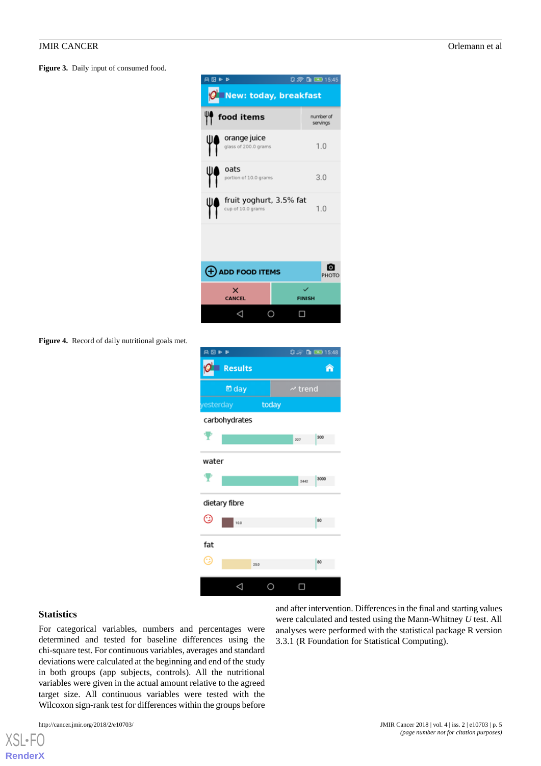<span id="page-4-0"></span>**Figure 3.** Daily input of consumed food.

| 無図をあ                                         | $0.89$ th $500$ 15:45 |
|----------------------------------------------|-----------------------|
| <b>New: today, breakfast</b>                 |                       |
| food items                                   | number of<br>servings |
| orange juice<br>glass of 200.0 grams         | 1.0                   |
| oats<br>portion of 10.0 grams                | 3.0                   |
| fruit yoghurt, 3.5% fat<br>cup of 10.0 grams | 1.0                   |
|                                              |                       |
| $\left(\frac{1}{2}\right)$ ADD FOOD ITEMS    | PHOTO                 |
| ×<br><b>CANCEL</b>                           | <b>FINISH</b>         |
|                                              |                       |

<span id="page-4-1"></span>**Figure 4.** Record of daily nutritional goals met.

| 無図ある          |                |       |              | $0.7 \times 10$ m 15:48 |
|---------------|----------------|-------|--------------|-------------------------|
|               | <b>Results</b> |       |              | 合                       |
|               | □ day          |       | $\sim$ trend |                         |
| esterday      |                | today |              |                         |
|               | carbohydrates  |       |              |                         |
| ₹             |                |       | 227          | 300                     |
| water         |                |       |              |                         |
| ₹             |                |       | 2442         | 3000                    |
| dietary fibre |                |       |              |                         |
| Ͼ             | 10.0           |       |              | 80                      |
| fat           |                |       |              |                         |
| Œ             |                | 25.0  |              | 80                      |
|               |                |       |              |                         |

#### **Statistics**

[XSL](http://www.w3.org/Style/XSL)•FO **[RenderX](http://www.renderx.com/)**

For categorical variables, numbers and percentages were determined and tested for baseline differences using the chi-square test. For continuous variables, averages and standard deviations were calculated at the beginning and end of the study in both groups (app subjects, controls). All the nutritional variables were given in the actual amount relative to the agreed target size. All continuous variables were tested with the Wilcoxon sign-rank test for differences within the groups before

and after intervention. Differences in the final and starting values were calculated and tested using the Mann-Whitney *U* test. All analyses were performed with the statistical package R version 3.3.1 (R Foundation for Statistical Computing).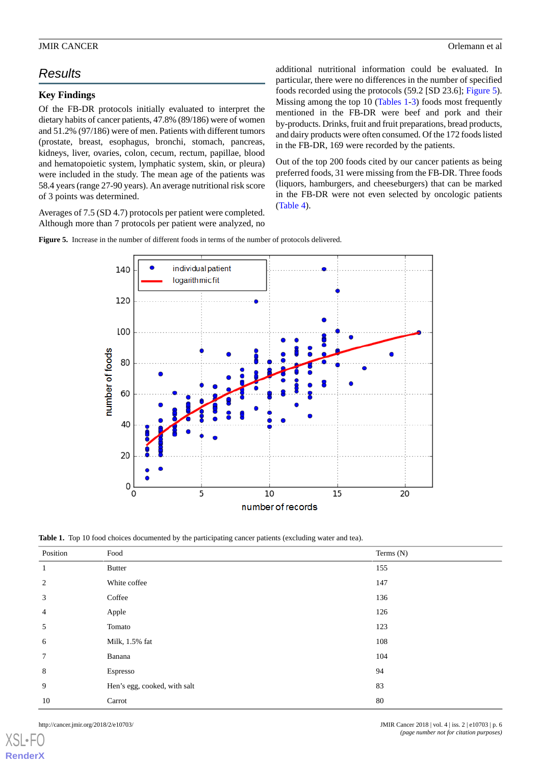# *Results*

# **Key Findings**

Of the FB-DR protocols initially evaluated to interpret the dietary habits of cancer patients, 47.8% (89/186) were of women and 51.2% (97/186) were of men. Patients with different tumors (prostate, breast, esophagus, bronchi, stomach, pancreas, kidneys, liver, ovaries, colon, cecum, rectum, papillae, blood and hematopoietic system, lymphatic system, skin, or pleura) were included in the study. The mean age of the patients was 58.4 years (range 27-90 years). An average nutritional risk score of 3 points was determined.

<span id="page-5-0"></span>Averages of 7.5 (SD 4.7) protocols per patient were completed. Although more than 7 protocols per patient were analyzed, no

additional nutritional information could be evaluated. In particular, there were no differences in the number of specified foods recorded using the protocols (59.2 [SD 23.6]; [Figure 5\)](#page-5-0). Missing among the top 10 ([Tables 1-](#page-5-1)[3\)](#page-6-0) foods most frequently mentioned in the FB-DR were beef and pork and their by-products. Drinks, fruit and fruit preparations, bread products, and dairy products were often consumed. Of the 172 foods listed in the FB-DR, 169 were recorded by the patients.

Out of the top 200 foods cited by our cancer patients as being preferred foods, 31 were missing from the FB-DR. Three foods (liquors, hamburgers, and cheeseburgers) that can be marked in the FB-DR were not even selected by oncologic patients ([Table 4](#page-7-0)).

**Figure 5.** Increase in the number of different foods in terms of the number of protocols delivered.



<span id="page-5-1"></span>**Table 1.** Top 10 food choices documented by the participating cancer patients (excluding water and tea).

| Position | Food                         | Terms (N) |
|----------|------------------------------|-----------|
| 1        | <b>Butter</b>                | 155       |
| 2        | White coffee                 | 147       |
| 3        | Coffee                       | 136       |
| 4        | Apple                        | 126       |
| 5        | Tomato                       | 123       |
| 6        | Milk, 1.5% fat               | 108       |
| 7        | Banana                       | 104       |
| 8        | Espresso                     | 94        |
| 9        | Hen's egg, cooked, with salt | 83        |
| 10       | Carrot                       | 80        |

[XSL](http://www.w3.org/Style/XSL)•FO **[RenderX](http://www.renderx.com/)**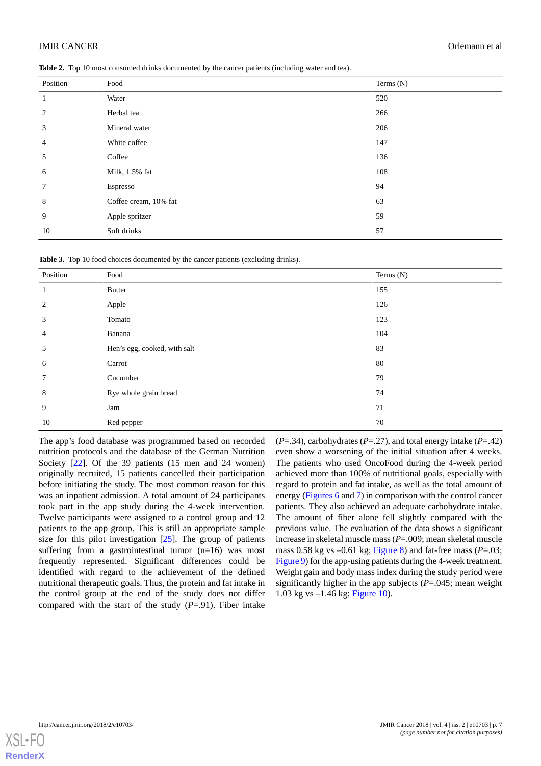**Table 2.** Top 10 most consumed drinks documented by the cancer patients (including water and tea).

| Position       | Food                  | Terms (N) |
|----------------|-----------------------|-----------|
| -1             | Water                 | 520       |
| 2              | Herbal tea            | 266       |
| 3              | Mineral water         | 206       |
| $\overline{4}$ | White coffee          | 147       |
| 5              | Coffee                | 136       |
| 6              | Milk, 1.5% fat        | 108       |
| $\tau$         | Espresso              | 94        |
| 8              | Coffee cream, 10% fat | 63        |
| 9              | Apple spritzer        | 59        |
| 10             | Soft drinks           | 57        |

<span id="page-6-0"></span>**Table 3.** Top 10 food choices documented by the cancer patients (excluding drinks).

| Position       | Food                         | Terms (N) |
|----------------|------------------------------|-----------|
| 1              | <b>Butter</b>                | 155       |
| 2              | Apple                        | 126       |
| 3              | Tomato                       | 123       |
| $\overline{4}$ | Banana                       | 104       |
| 5              | Hen's egg, cooked, with salt | 83        |
| 6              | Carrot                       | 80        |
| 7              | Cucumber                     | 79        |
| 8              | Rye whole grain bread        | 74        |
| 9              | Jam                          | 71        |
| 10             | Red pepper                   | 70        |

The app's food database was programmed based on recorded nutrition protocols and the database of the German Nutrition Society [[22\]](#page-13-7). Of the 39 patients (15 men and 24 women) originally recruited, 15 patients cancelled their participation before initiating the study. The most common reason for this was an inpatient admission. A total amount of 24 participants took part in the app study during the 4-week intervention. Twelve participants were assigned to a control group and 12 patients to the app group. This is still an appropriate sample size for this pilot investigation [[25\]](#page-13-10). The group of patients suffering from a gastrointestinal tumor (n=16) was most frequently represented. Significant differences could be identified with regard to the achievement of the defined nutritional therapeutic goals. Thus, the protein and fat intake in the control group at the end of the study does not differ compared with the start of the study (*P*=.91). Fiber intake

(*P*=.34), carbohydrates (*P*=.27), and total energy intake (*P*=.42) even show a worsening of the initial situation after 4 weeks. The patients who used OncoFood during the 4-week period achieved more than 100% of nutritional goals, especially with regard to protein and fat intake, as well as the total amount of energy [\(Figures 6](#page-8-0) and [7](#page-9-0)) in comparison with the control cancer patients. They also achieved an adequate carbohydrate intake. The amount of fiber alone fell slightly compared with the previous value. The evaluation of the data shows a significant increase in skeletal muscle mass (*P*=.009; mean skeletal muscle mass 0.58 kg vs –0.61 kg; [Figure 8\)](#page-9-1) and fat-free mass (*P*=.03; [Figure 9](#page-10-0)) for the app-using patients during the 4-week treatment. Weight gain and body mass index during the study period were significantly higher in the app subjects (*P*=.045; mean weight 1.03 kg vs –1.46 kg; [Figure 10](#page-10-1)).

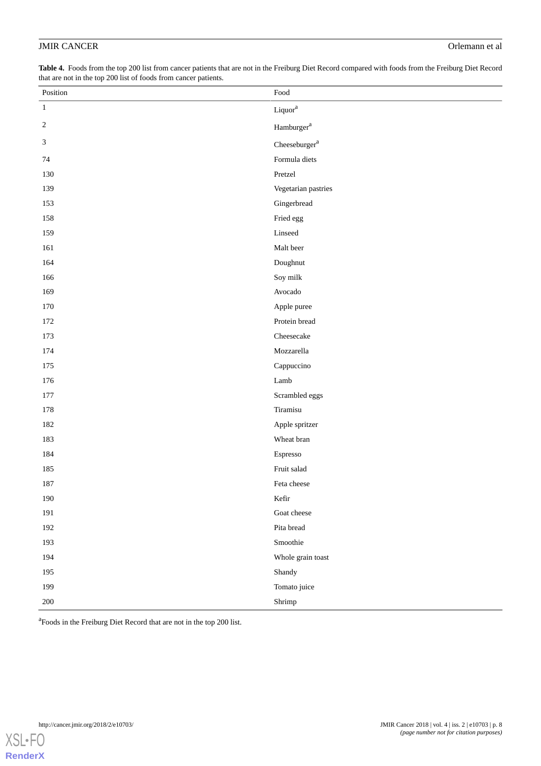<span id="page-7-0"></span>**Table 4.** Foods from the top 200 list from cancer patients that are not in the Freiburg Diet Record compared with foods from the Freiburg Diet Record that are not in the top 200 list of foods from cancer patients.

| Position   | $\operatorname*{Food}$     |
|------------|----------------------------|
| $\,1\,$    | $\mbox{Liquor}^{\mbox{a}}$ |
| $\sqrt{2}$ | Hamburger $a$              |
| 3          | Cheeseburger $^{\rm a}$    |
| 74         | Formula diets              |
| 130        | Pretzel                    |
| 139        | Vegetarian pastries        |
| 153        | Gingerbread                |
| 158        | Fried egg                  |
| 159        | Linseed                    |
| 161        | Malt beer                  |
| 164        | Doughnut                   |
| 166        | Soy milk                   |
| 169        | Avocado                    |
| 170        | Apple puree                |
| 172        | Protein bread              |
| 173        | Cheesecake                 |
| 174        | Mozzarella                 |
| 175        | Cappuccino                 |
| 176        | Lamb                       |
| 177        | Scrambled eggs             |
| 178        | Tiramisu                   |
| 182        | Apple spritzer             |
| 183        | Wheat bran                 |
| 184        | Espresso                   |
| 185        | Fruit salad                |
| 187        | Feta cheese                |
| 190        | Kefir                      |
| 191        | Goat cheese                |
| 192        | Pita bread                 |
| 193        | Smoothie                   |
| 194        | Whole grain toast          |
| 195        | Shandy                     |
| 199        | Tomato juice               |
| 200        | Shrimp                     |

<sup>a</sup> Foods in the Freiburg Diet Record that are not in the top 200 list.

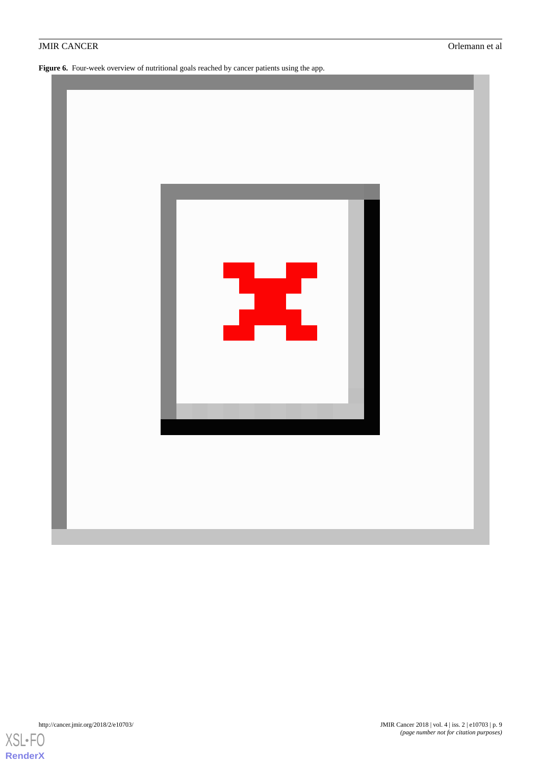<span id="page-8-0"></span>Figure 6. Four-week overview of nutritional goals reached by cancer patients using the app.



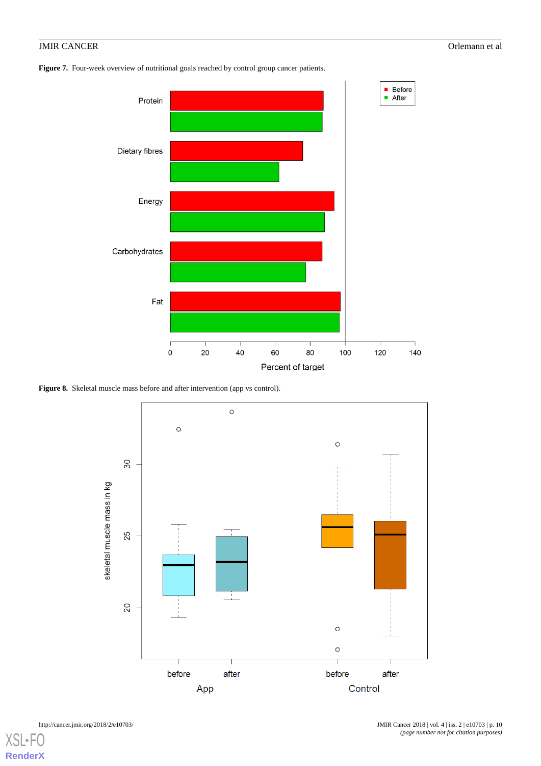<span id="page-9-0"></span>Figure 7. Four-week overview of nutritional goals reached by control group cancer patients.



<span id="page-9-1"></span>Figure 8. Skeletal muscle mass before and after intervention (app vs control).

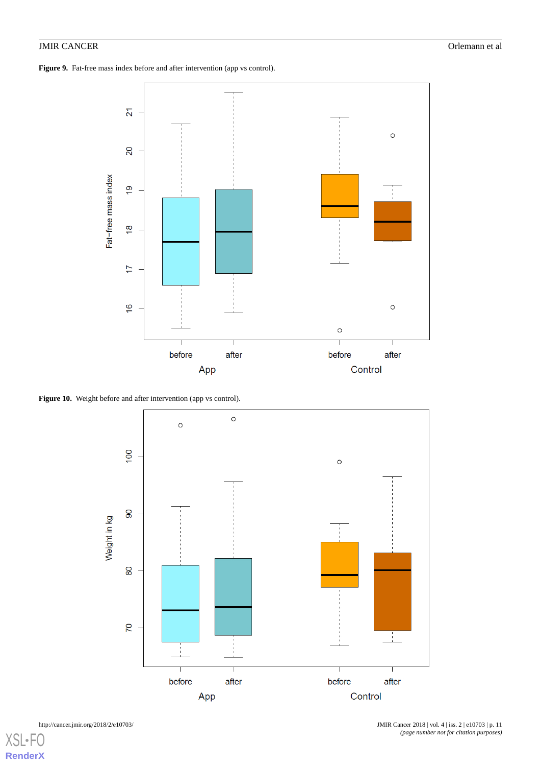<span id="page-10-0"></span>Figure 9. Fat-free mass index before and after intervention (app vs control).



<span id="page-10-1"></span>Figure 10. Weight before and after intervention (app vs control).



[XSL](http://www.w3.org/Style/XSL)•F **[RenderX](http://www.renderx.com/)**

http://cancer.jmir.org/2018/2/e10703/ JMIR Cancer 2018 | vol. 4 | iss. 2 | e10703 | p. 11 *(page number not for citation purposes)*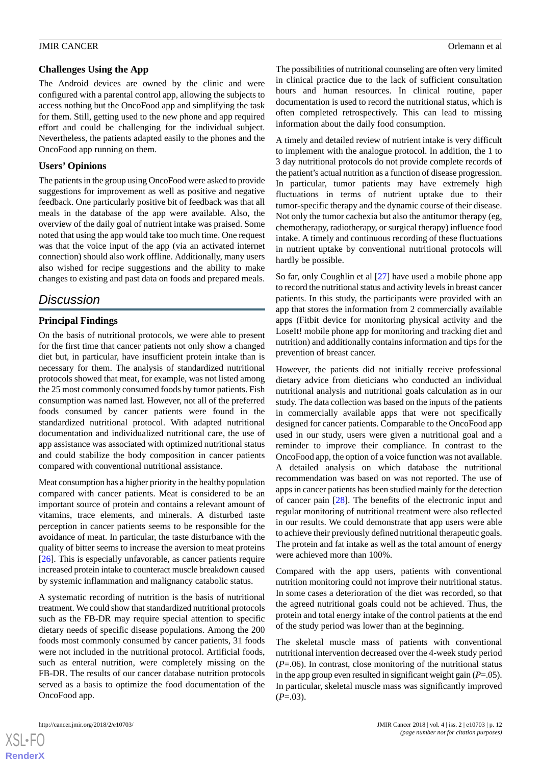The Android devices are owned by the clinic and were configured with a parental control app, allowing the subjects to access nothing but the OncoFood app and simplifying the task for them. Still, getting used to the new phone and app required effort and could be challenging for the individual subject. Nevertheless, the patients adapted easily to the phones and the OncoFood app running on them.

# **Users' Opinions**

The patients in the group using OncoFood were asked to provide suggestions for improvement as well as positive and negative feedback. One particularly positive bit of feedback was that all meals in the database of the app were available. Also, the overview of the daily goal of nutrient intake was praised. Some noted that using the app would take too much time. One request was that the voice input of the app (via an activated internet connection) should also work offline. Additionally, many users also wished for recipe suggestions and the ability to make changes to existing and past data on foods and prepared meals.

# *Discussion*

# **Principal Findings**

On the basis of nutritional protocols, we were able to present for the first time that cancer patients not only show a changed diet but, in particular, have insufficient protein intake than is necessary for them. The analysis of standardized nutritional protocols showed that meat, for example, was not listed among the 25 most commonly consumed foods by tumor patients. Fish consumption was named last. However, not all of the preferred foods consumed by cancer patients were found in the standardized nutritional protocol. With adapted nutritional documentation and individualized nutritional care, the use of app assistance was associated with optimized nutritional status and could stabilize the body composition in cancer patients compared with conventional nutritional assistance.

Meat consumption has a higher priority in the healthy population compared with cancer patients. Meat is considered to be an important source of protein and contains a relevant amount of vitamins, trace elements, and minerals. A disturbed taste perception in cancer patients seems to be responsible for the avoidance of meat. In particular, the taste disturbance with the quality of bitter seems to increase the aversion to meat proteins [[26\]](#page-13-11). This is especially unfavorable, as cancer patients require increased protein intake to counteract muscle breakdown caused by systemic inflammation and malignancy catabolic status.

A systematic recording of nutrition is the basis of nutritional treatment. We could show that standardized nutritional protocols such as the FB-DR may require special attention to specific dietary needs of specific disease populations. Among the 200 foods most commonly consumed by cancer patients, 31 foods were not included in the nutritional protocol. Artificial foods, such as enteral nutrition, were completely missing on the FB-DR. The results of our cancer database nutrition protocols served as a basis to optimize the food documentation of the OncoFood app.

The possibilities of nutritional counseling are often very limited in clinical practice due to the lack of sufficient consultation hours and human resources. In clinical routine, paper documentation is used to record the nutritional status, which is often completed retrospectively. This can lead to missing information about the daily food consumption.

A timely and detailed review of nutrient intake is very difficult to implement with the analogue protocol. In addition, the 1 to 3 day nutritional protocols do not provide complete records of the patient's actual nutrition as a function of disease progression. In particular, tumor patients may have extremely high fluctuations in terms of nutrient uptake due to their tumor-specific therapy and the dynamic course of their disease. Not only the tumor cachexia but also the antitumor therapy (eg, chemotherapy, radiotherapy, or surgical therapy) influence food intake. A timely and continuous recording of these fluctuations in nutrient uptake by conventional nutritional protocols will hardly be possible.

So far, only Coughlin et al [[27\]](#page-13-12) have used a mobile phone app to record the nutritional status and activity levels in breast cancer patients. In this study, the participants were provided with an app that stores the information from 2 commercially available apps (Fitbit device for monitoring physical activity and the LoseIt! mobile phone app for monitoring and tracking diet and nutrition) and additionally contains information and tips for the prevention of breast cancer.

However, the patients did not initially receive professional dietary advice from dieticians who conducted an individual nutritional analysis and nutritional goals calculation as in our study. The data collection was based on the inputs of the patients in commercially available apps that were not specifically designed for cancer patients. Comparable to the OncoFood app used in our study, users were given a nutritional goal and a reminder to improve their compliance. In contrast to the OncoFood app, the option of a voice function was not available. A detailed analysis on which database the nutritional recommendation was based on was not reported. The use of apps in cancer patients has been studied mainly for the detection of cancer pain [[28\]](#page-13-13). The benefits of the electronic input and regular monitoring of nutritional treatment were also reflected in our results. We could demonstrate that app users were able to achieve their previously defined nutritional therapeutic goals. The protein and fat intake as well as the total amount of energy were achieved more than 100%.

Compared with the app users, patients with conventional nutrition monitoring could not improve their nutritional status. In some cases a deterioration of the diet was recorded, so that the agreed nutritional goals could not be achieved. Thus, the protein and total energy intake of the control patients at the end of the study period was lower than at the beginning.

The skeletal muscle mass of patients with conventional nutritional intervention decreased over the 4-week study period (*P*=.06). In contrast, close monitoring of the nutritional status in the app group even resulted in significant weight gain (*P*=.05). In particular, skeletal muscle mass was significantly improved  $(P=.03)$ .

 $XS$  $\cdot$ FC **[RenderX](http://www.renderx.com/)**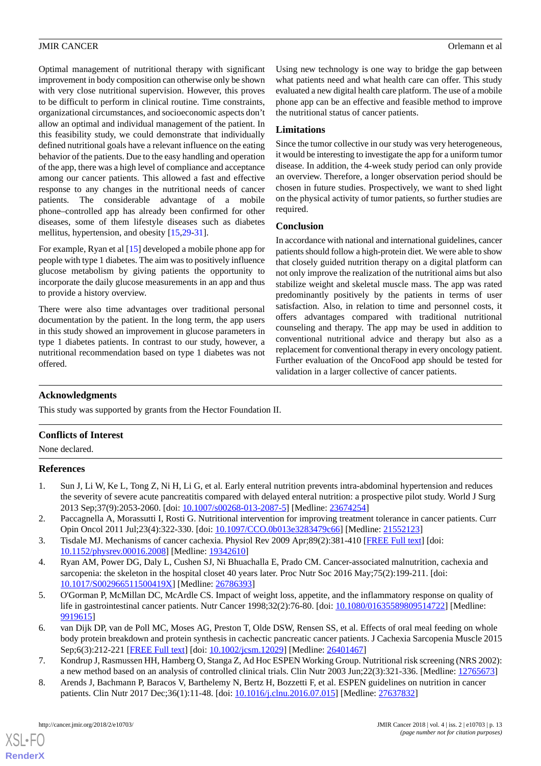Optimal management of nutritional therapy with significant improvement in body composition can otherwise only be shown with very close nutritional supervision. However, this proves to be difficult to perform in clinical routine. Time constraints, organizational circumstances, and socioeconomic aspects don't allow an optimal and individual management of the patient. In this feasibility study, we could demonstrate that individually defined nutritional goals have a relevant influence on the eating behavior of the patients. Due to the easy handling and operation of the app, there was a high level of compliance and acceptance among our cancer patients. This allowed a fast and effective response to any changes in the nutritional needs of cancer patients. The considerable advantage of a mobile phone–controlled app has already been confirmed for other diseases, some of them lifestyle diseases such as diabetes mellitus, hypertension, and obesity [\[15](#page-13-14)[,29](#page-13-15)-[31\]](#page-14-0).

For example, Ryan et al [\[15](#page-13-14)] developed a mobile phone app for people with type 1 diabetes. The aim was to positively influence glucose metabolism by giving patients the opportunity to incorporate the daily glucose measurements in an app and thus to provide a history overview.

There were also time advantages over traditional personal documentation by the patient. In the long term, the app users in this study showed an improvement in glucose parameters in type 1 diabetes patients. In contrast to our study, however, a nutritional recommendation based on type 1 diabetes was not offered.

Using new technology is one way to bridge the gap between what patients need and what health care can offer. This study evaluated a new digital health care platform. The use of a mobile phone app can be an effective and feasible method to improve the nutritional status of cancer patients.

# **Limitations**

Since the tumor collective in our study was very heterogeneous, it would be interesting to investigate the app for a uniform tumor disease. In addition, the 4-week study period can only provide an overview. Therefore, a longer observation period should be chosen in future studies. Prospectively, we want to shed light on the physical activity of tumor patients, so further studies are required.

# **Conclusion**

In accordance with national and international guidelines, cancer patients should follow a high-protein diet. We were able to show that closely guided nutrition therapy on a digital platform can not only improve the realization of the nutritional aims but also stabilize weight and skeletal muscle mass. The app was rated predominantly positively by the patients in terms of user satisfaction. Also, in relation to time and personnel costs, it offers advantages compared with traditional nutritional counseling and therapy. The app may be used in addition to conventional nutritional advice and therapy but also as a replacement for conventional therapy in every oncology patient. Further evaluation of the OncoFood app should be tested for validation in a larger collective of cancer patients.

# **Acknowledgments**

This study was supported by grants from the Hector Foundation II.

# <span id="page-12-0"></span>**Conflicts of Interest**

None declared.

# <span id="page-12-1"></span>**References**

- <span id="page-12-2"></span>1. Sun J, Li W, Ke L, Tong Z, Ni H, Li G, et al. Early enteral nutrition prevents intra-abdominal hypertension and reduces the severity of severe acute pancreatitis compared with delayed enteral nutrition: a prospective pilot study. World J Surg 2013 Sep;37(9):2053-2060. [doi: [10.1007/s00268-013-2087-5](http://dx.doi.org/10.1007/s00268-013-2087-5)] [Medline: [23674254\]](http://www.ncbi.nlm.nih.gov/entrez/query.fcgi?cmd=Retrieve&db=PubMed&list_uids=23674254&dopt=Abstract)
- <span id="page-12-3"></span>2. Paccagnella A, Morassutti I, Rosti G. Nutritional intervention for improving treatment tolerance in cancer patients. Curr Opin Oncol 2011 Jul;23(4):322-330. [doi: [10.1097/CCO.0b013e3283479c66](http://dx.doi.org/10.1097/CCO.0b013e3283479c66)] [Medline: [21552123](http://www.ncbi.nlm.nih.gov/entrez/query.fcgi?cmd=Retrieve&db=PubMed&list_uids=21552123&dopt=Abstract)]
- <span id="page-12-4"></span>3. Tisdale MJ. Mechanisms of cancer cachexia. Physiol Rev 2009 Apr;89(2):381-410 [\[FREE Full text\]](http://www.physiology.org/doi/abs/10.1152/physrev.00016.2008?url_ver=Z39.88-2003&rfr_id=ori:rid:crossref.org&rfr_dat=cr_pub%3dpubmed) [doi: [10.1152/physrev.00016.2008](http://dx.doi.org/10.1152/physrev.00016.2008)] [Medline: [19342610](http://www.ncbi.nlm.nih.gov/entrez/query.fcgi?cmd=Retrieve&db=PubMed&list_uids=19342610&dopt=Abstract)]
- <span id="page-12-5"></span>4. Ryan AM, Power DG, Daly L, Cushen SJ, Ni Bhuachalla E, Prado CM. Cancer-associated malnutrition, cachexia and sarcopenia: the skeleton in the hospital closet 40 years later. Proc Nutr Soc 2016 May;75(2):199-211. [doi: [10.1017/S002966511500419X\]](http://dx.doi.org/10.1017/S002966511500419X) [Medline: [26786393](http://www.ncbi.nlm.nih.gov/entrez/query.fcgi?cmd=Retrieve&db=PubMed&list_uids=26786393&dopt=Abstract)]
- <span id="page-12-6"></span>5. O'Gorman P, McMillan DC, McArdle CS. Impact of weight loss, appetite, and the inflammatory response on quality of life in gastrointestinal cancer patients. Nutr Cancer 1998;32(2):76-80. [doi: [10.1080/01635589809514722\]](http://dx.doi.org/10.1080/01635589809514722) [Medline: [9919615\]](http://www.ncbi.nlm.nih.gov/entrez/query.fcgi?cmd=Retrieve&db=PubMed&list_uids=9919615&dopt=Abstract)
- <span id="page-12-7"></span>6. van Dijk DP, van de Poll MC, Moses AG, Preston T, Olde DSW, Rensen SS, et al. Effects of oral meal feeding on whole body protein breakdown and protein synthesis in cachectic pancreatic cancer patients. J Cachexia Sarcopenia Muscle 2015 Sep;6(3):212-221 [[FREE Full text](https://doi.org/10.1002/jcsm.12029)] [doi: [10.1002/jcsm.12029](http://dx.doi.org/10.1002/jcsm.12029)] [Medline: [26401467\]](http://www.ncbi.nlm.nih.gov/entrez/query.fcgi?cmd=Retrieve&db=PubMed&list_uids=26401467&dopt=Abstract)
- 7. Kondrup J, Rasmussen HH, Hamberg O, Stanga Z, Ad Hoc ESPEN Working Group. Nutritional risk screening (NRS 2002): a new method based on an analysis of controlled clinical trials. Clin Nutr 2003 Jun;22(3):321-336. [Medline: [12765673\]](http://www.ncbi.nlm.nih.gov/entrez/query.fcgi?cmd=Retrieve&db=PubMed&list_uids=12765673&dopt=Abstract)
- 8. Arends J, Bachmann P, Baracos V, Barthelemy N, Bertz H, Bozzetti F, et al. ESPEN guidelines on nutrition in cancer patients. Clin Nutr 2017 Dec;36(1):11-48. [doi: [10.1016/j.clnu.2016.07.015](http://dx.doi.org/10.1016/j.clnu.2016.07.015)] [Medline: [27637832\]](http://www.ncbi.nlm.nih.gov/entrez/query.fcgi?cmd=Retrieve&db=PubMed&list_uids=27637832&dopt=Abstract)

[XSL](http://www.w3.org/Style/XSL)•FO **[RenderX](http://www.renderx.com/)**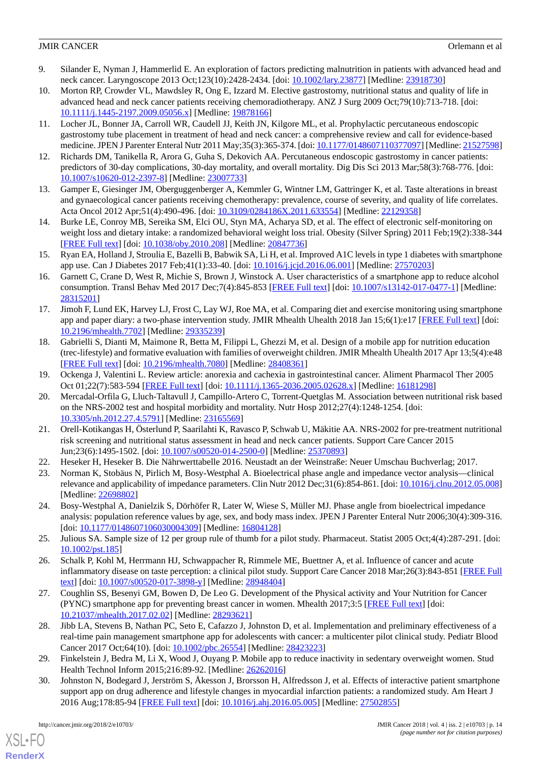- <span id="page-13-0"></span>9. Silander E, Nyman J, Hammerlid E. An exploration of factors predicting malnutrition in patients with advanced head and neck cancer. Laryngoscope 2013 Oct;123(10):2428-2434. [doi: [10.1002/lary.23877](http://dx.doi.org/10.1002/lary.23877)] [Medline: [23918730\]](http://www.ncbi.nlm.nih.gov/entrez/query.fcgi?cmd=Retrieve&db=PubMed&list_uids=23918730&dopt=Abstract)
- 10. Morton RP, Crowder VL, Mawdsley R, Ong E, Izzard M. Elective gastrostomy, nutritional status and quality of life in advanced head and neck cancer patients receiving chemoradiotherapy. ANZ J Surg 2009 Oct;79(10):713-718. [doi: [10.1111/j.1445-2197.2009.05056.x\]](http://dx.doi.org/10.1111/j.1445-2197.2009.05056.x) [Medline: [19878166\]](http://www.ncbi.nlm.nih.gov/entrez/query.fcgi?cmd=Retrieve&db=PubMed&list_uids=19878166&dopt=Abstract)
- 11. Locher JL, Bonner JA, Carroll WR, Caudell JJ, Keith JN, Kilgore ML, et al. Prophylactic percutaneous endoscopic gastrostomy tube placement in treatment of head and neck cancer: a comprehensive review and call for evidence-based medicine. JPEN J Parenter Enteral Nutr 2011 May;35(3):365-374. [doi: [10.1177/0148607110377097](http://dx.doi.org/10.1177/0148607110377097)] [Medline: [21527598\]](http://www.ncbi.nlm.nih.gov/entrez/query.fcgi?cmd=Retrieve&db=PubMed&list_uids=21527598&dopt=Abstract)
- <span id="page-13-2"></span><span id="page-13-1"></span>12. Richards DM, Tanikella R, Arora G, Guha S, Dekovich AA. Percutaneous endoscopic gastrostomy in cancer patients: predictors of 30-day complications, 30-day mortality, and overall mortality. Dig Dis Sci 2013 Mar;58(3):768-776. [doi: [10.1007/s10620-012-2397-8\]](http://dx.doi.org/10.1007/s10620-012-2397-8) [Medline: [23007733](http://www.ncbi.nlm.nih.gov/entrez/query.fcgi?cmd=Retrieve&db=PubMed&list_uids=23007733&dopt=Abstract)]
- <span id="page-13-3"></span>13. Gamper E, Giesinger JM, Oberguggenberger A, Kemmler G, Wintner LM, Gattringer K, et al. Taste alterations in breast and gynaecological cancer patients receiving chemotherapy: prevalence, course of severity, and quality of life correlates. Acta Oncol 2012 Apr;51(4):490-496. [doi: [10.3109/0284186X.2011.633554](http://dx.doi.org/10.3109/0284186X.2011.633554)] [Medline: [22129358](http://www.ncbi.nlm.nih.gov/entrez/query.fcgi?cmd=Retrieve&db=PubMed&list_uids=22129358&dopt=Abstract)]
- <span id="page-13-14"></span>14. Burke LE, Conroy MB, Sereika SM, Elci OU, Styn MA, Acharya SD, et al. The effect of electronic self-monitoring on weight loss and dietary intake: a randomized behavioral weight loss trial. Obesity (Silver Spring) 2011 Feb;19(2):338-344 [[FREE Full text](http://dx.doi.org/10.1038/oby.2010.208)] [doi: [10.1038/oby.2010.208](http://dx.doi.org/10.1038/oby.2010.208)] [Medline: [20847736\]](http://www.ncbi.nlm.nih.gov/entrez/query.fcgi?cmd=Retrieve&db=PubMed&list_uids=20847736&dopt=Abstract)
- 15. Ryan EA, Holland J, Stroulia E, Bazelli B, Babwik SA, Li H, et al. Improved A1C levels in type 1 diabetes with smartphone app use. Can J Diabetes 2017 Feb; 41(1): 33-40. [doi: 10.1016/j.jcjd. 2016.06.001] [Medline: [27570203](http://www.ncbi.nlm.nih.gov/entrez/query.fcgi?cmd=Retrieve&db=PubMed&list_uids=27570203&dopt=Abstract)]
- 16. Garnett C, Crane D, West R, Michie S, Brown J, Winstock A. User characteristics of a smartphone app to reduce alcohol consumption. Transl Behav Med 2017 Dec;7(4):845-853 [[FREE Full text\]](http://europepmc.org/abstract/MED/28315201) [doi: [10.1007/s13142-017-0477-1](http://dx.doi.org/10.1007/s13142-017-0477-1)] [Medline: [28315201](http://www.ncbi.nlm.nih.gov/entrez/query.fcgi?cmd=Retrieve&db=PubMed&list_uids=28315201&dopt=Abstract)]
- <span id="page-13-4"></span>17. Jimoh F, Lund EK, Harvey LJ, Frost C, Lay WJ, Roe MA, et al. Comparing diet and exercise monitoring using smartphone app and paper diary: a two-phase intervention study. JMIR Mhealth Uhealth 2018 Jan 15;6(1):e17 [\[FREE Full text\]](http://mhealth.jmir.org/2018/1/e17/) [doi: [10.2196/mhealth.7702](http://dx.doi.org/10.2196/mhealth.7702)] [Medline: [29335239](http://www.ncbi.nlm.nih.gov/entrez/query.fcgi?cmd=Retrieve&db=PubMed&list_uids=29335239&dopt=Abstract)]
- <span id="page-13-5"></span>18. Gabrielli S, Dianti M, Maimone R, Betta M, Filippi L, Ghezzi M, et al. Design of a mobile app for nutrition education (trec-lifestyle) and formative evaluation with families of overweight children. JMIR Mhealth Uhealth 2017 Apr 13;5(4):e48 [[FREE Full text](http://mhealth.jmir.org/2017/4/e48/)] [doi: [10.2196/mhealth.7080\]](http://dx.doi.org/10.2196/mhealth.7080) [Medline: [28408361](http://www.ncbi.nlm.nih.gov/entrez/query.fcgi?cmd=Retrieve&db=PubMed&list_uids=28408361&dopt=Abstract)]
- 19. Ockenga J, Valentini L. Review article: anorexia and cachexia in gastrointestinal cancer. Aliment Pharmacol Ther 2005 Oct 01;22(7):583-594 [[FREE Full text](https://doi.org/10.1111/j.1365-2036.2005.02628.x)] [doi: [10.1111/j.1365-2036.2005.02628.x\]](http://dx.doi.org/10.1111/j.1365-2036.2005.02628.x) [Medline: [16181298\]](http://www.ncbi.nlm.nih.gov/entrez/query.fcgi?cmd=Retrieve&db=PubMed&list_uids=16181298&dopt=Abstract)
- <span id="page-13-6"></span>20. Mercadal-Orfila G, Lluch-Taltavull J, Campillo-Artero C, Torrent-Quetglas M. Association between nutritional risk based on the NRS-2002 test and hospital morbidity and mortality. Nutr Hosp 2012;27(4):1248-1254. [doi: [10.3305/nh.2012.27.4.5791\]](http://dx.doi.org/10.3305/nh.2012.27.4.5791) [Medline: [23165569\]](http://www.ncbi.nlm.nih.gov/entrez/query.fcgi?cmd=Retrieve&db=PubMed&list_uids=23165569&dopt=Abstract)
- <span id="page-13-8"></span><span id="page-13-7"></span>21. Orell-Kotikangas H, Österlund P, Saarilahti K, Ravasco P, Schwab U, Mäkitie AA. NRS-2002 for pre-treatment nutritional risk screening and nutritional status assessment in head and neck cancer patients. Support Care Cancer 2015 Jun;23(6):1495-1502. [doi: [10.1007/s00520-014-2500-0\]](http://dx.doi.org/10.1007/s00520-014-2500-0) [Medline: [25370893](http://www.ncbi.nlm.nih.gov/entrez/query.fcgi?cmd=Retrieve&db=PubMed&list_uids=25370893&dopt=Abstract)]
- <span id="page-13-9"></span>22. Heseker H, Heseker B. Die Nährwerttabelle 2016. Neustadt an der Weinstraße: Neuer Umschau Buchverlag; 2017.
- <span id="page-13-10"></span>23. Norman K, Stobäus N, Pirlich M, Bosy-Westphal A. Bioelectrical phase angle and impedance vector analysis—clinical relevance and applicability of impedance parameters. Clin Nutr 2012 Dec;31(6):854-861. [doi: [10.1016/j.clnu.2012.05.008\]](http://dx.doi.org/10.1016/j.clnu.2012.05.008) [Medline: [22698802](http://www.ncbi.nlm.nih.gov/entrez/query.fcgi?cmd=Retrieve&db=PubMed&list_uids=22698802&dopt=Abstract)]
- <span id="page-13-11"></span>24. Bosy-Westphal A, Danielzik S, Dörhöfer R, Later W, Wiese S, Müller MJ. Phase angle from bioelectrical impedance analysis: population reference values by age, sex, and body mass index. JPEN J Parenter Enteral Nutr 2006;30(4):309-316. [doi: [10.1177/0148607106030004309](http://dx.doi.org/10.1177/0148607106030004309)] [Medline: [16804128\]](http://www.ncbi.nlm.nih.gov/entrez/query.fcgi?cmd=Retrieve&db=PubMed&list_uids=16804128&dopt=Abstract)
- <span id="page-13-12"></span>25. Julious SA. Sample size of 12 per group rule of thumb for a pilot study. Pharmaceut. Statist 2005 Oct;4(4):287-291. [doi: [10.1002/pst.185\]](http://dx.doi.org/10.1002/pst.185)
- <span id="page-13-13"></span>26. Schalk P, Kohl M, Herrmann HJ, Schwappacher R, Rimmele ME, Buettner A, et al. Influence of cancer and acute inflammatory disease on taste perception: a clinical pilot study. Support Care Cancer 2018 Mar;26(3):843-851 [[FREE Full](http://europepmc.org/abstract/MED/28948404) [text](http://europepmc.org/abstract/MED/28948404)] [doi: [10.1007/s00520-017-3898-y\]](http://dx.doi.org/10.1007/s00520-017-3898-y) [Medline: [28948404](http://www.ncbi.nlm.nih.gov/entrez/query.fcgi?cmd=Retrieve&db=PubMed&list_uids=28948404&dopt=Abstract)]
- <span id="page-13-15"></span>27. Coughlin SS, Besenyi GM, Bowen D, De Leo G. Development of the Physical activity and Your Nutrition for Cancer (PYNC) smartphone app for preventing breast cancer in women. Mhealth 2017;3:5 [\[FREE Full text\]](http://dx.doi.org/10.21037/mhealth.2017.02.02) [doi: [10.21037/mhealth.2017.02.02](http://dx.doi.org/10.21037/mhealth.2017.02.02)] [Medline: [28293621](http://www.ncbi.nlm.nih.gov/entrez/query.fcgi?cmd=Retrieve&db=PubMed&list_uids=28293621&dopt=Abstract)]
- 28. Jibb LA, Stevens B, Nathan PC, Seto E, Cafazzo J, Johnston D, et al. Implementation and preliminary effectiveness of a real-time pain management smartphone app for adolescents with cancer: a multicenter pilot clinical study. Pediatr Blood Cancer 2017 Oct;64(10). [doi: [10.1002/pbc.26554](http://dx.doi.org/10.1002/pbc.26554)] [Medline: [28423223](http://www.ncbi.nlm.nih.gov/entrez/query.fcgi?cmd=Retrieve&db=PubMed&list_uids=28423223&dopt=Abstract)]
- 29. Finkelstein J, Bedra M, Li X, Wood J, Ouyang P. Mobile app to reduce inactivity in sedentary overweight women. Stud Health Technol Inform 2015;216:89-92. [Medline: [26262016](http://www.ncbi.nlm.nih.gov/entrez/query.fcgi?cmd=Retrieve&db=PubMed&list_uids=26262016&dopt=Abstract)]
- 30. Johnston N, Bodegard J, Jerström S, Åkesson J, Brorsson H, Alfredsson J, et al. Effects of interactive patient smartphone support app on drug adherence and lifestyle changes in myocardial infarction patients: a randomized study. Am Heart J 2016 Aug;178:85-94 [[FREE Full text](https://linkinghub.elsevier.com/retrieve/pii/S0002-8703(16)30062-X)] [doi: [10.1016/j.ahj.2016.05.005\]](http://dx.doi.org/10.1016/j.ahj.2016.05.005) [Medline: [27502855\]](http://www.ncbi.nlm.nih.gov/entrez/query.fcgi?cmd=Retrieve&db=PubMed&list_uids=27502855&dopt=Abstract)

[XSL](http://www.w3.org/Style/XSL)•FO **[RenderX](http://www.renderx.com/)**